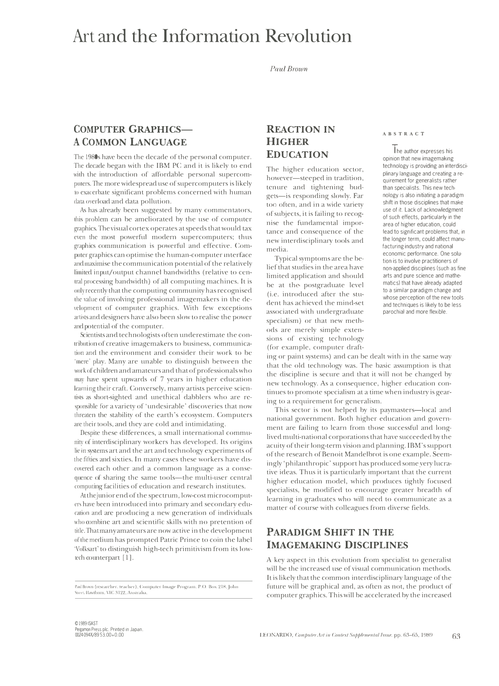# Art and the Information Revolution

*Paul Brown* 

# **COMPUTER GRAPHICS-A COMMON LANGUAGE**

The 1980s have been the decade of the personal computer. The decade began with the IBM PC and it is likely to end with the introduction of affordable personal supercomputers. The more widespread use of supercomputers is likely to exacerbate significant problems concerned with human data overload and data pollution.

As has already been suggested by many commentators, this problem can be ameliorated by the use of computer graphics. The visual cortex operates at speeds that would tax even the most powerful modern supercomputers; thus graphics communication is powerful and effective. Computer graphics can optimise the human-computer mterface and maximise the communication potential of the relatively limited input/output channel bandwidths (relative to cen-Lral processing bandwidth) of all computing machines. It is only recently that the computing community has recognised the value of involving professional imagemakers in the development of computer graphics. With few exceptions artists and designers have also been slow to realise the power and potential of the computer.

Scientists and technologists often underestimate the con-Lribution of creative imagemakers to business, communication and the environment and consider their work to be 'mere' play. Many are unable to distinguish between the work of children and amateurs and that of professionals who may have spent upwards of 7 years in higher education learning their craft. Conversely, many artists perceive scientists as short-sighted and unethical dabblers who are responsible for a variety of 'undesirable' discoveries that now threaten the stability of the earth's ecosystem. Computers are their tools, and they are cold and intimidating.

Despite these differences, a small international community of interdisciplinary workers has developed. Its origins lie in systems art and the art and technology experiments of the fifties and sixties. In many cases these workers have discovered each other and a common language as a consequence of sharing the same tools—the multi-user central computing facilities of education and research institutes.

At the junior end of the spectrum, low-cost microcomputers have been introduced into primary and secondary education and are producing a new generation of individuals who combine art and scientific skills with no pretention of title. That many amateurs are now active in the development of the medium has prompted Patric Prince to coin the label 'Volksart' to distinguish high-tech primitivism from its lowtech counterpart [ 1 J.

Paul Brown (researcher. teacher), Computer Image Program, P.O. Box 218, John<br>Stret. Hawthorn, VIC 3122, Australia.

#### **REACTION IN HIGHER EDUCATION**

The higher education sector, however-steeped in tradition, tenure and tightening budgets-is responding slowly. Far too often, and in a wide variety of subjects, it is failing to recognise the fundamental importance and consequence of the new interdisciplinary tools and media.

Typical symptoms are the belief that studies in the area have limited application and should be at the- postgraduate level (i.e. introduced after the student has achieved the mind-set associated with undergraduate specialism) or that new methods are merely simple extensions of existing technology (for example, computer draft-

 $\overline{\mathbf{I}}$  he author expresses his opinion that new imagemaking technology is providing an interdisciplinary language and creating a requirement for generalists rather than specialists. This new technology is also initiating a paradigm shift in those disciplines that make use of it. Lack of acknowledgment of such effects, particularly in the area of higher education, could lead to significant problems that, in the longer term, could affect manufacturing industry and national economic performance. One solution is to involve practitioners of non-applied disciplines (such as fine arts and pure science and mathematics) that have already adapted to a similar paradigm change and whose perception of the new tools and techniques is likely to be less parochial and more flexible.

ing or paint systems) and can be dealt with in the same way that the old technology was. The basic assumption is that the discipline is secure and that it will not be changed by new technology. As a consequence, higher education continues to promote specialism at a time when industry is gearing to a requirement for generalism.

This sector is not helped by its paymasters-local and national government. Both higher education and government are failing to learn from those successful and longlived multi-national corporations that have succeeded by the acuity of their long-term vision and planning. IBM's support of the research of Benoit Mandelbrot is one example. Seemingly 'philanthropic' support has produced some very lucrative ideas. Thus it is particularly important that the current higher education model, which produces tightly focused specialists, be modified to encourage greater breadth of learning in graduates who will need to communicate as a matter of course with colleagues from diverse fields.

#### **PARADIGM SHIFT IN THE IMAGEMAKING DISCIPLINES**

A key aspect in this evolution from specialist to generalist will be the increased use of visual communication methods. It is likely that the common interdisciplinary language of the future will be graphical and, as often as not, the product of computer graphics. This will be accelerated by the increased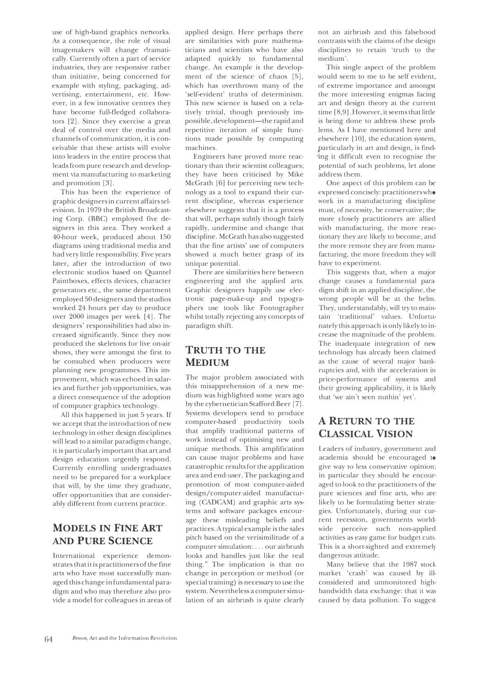use of high-band graphics networks. As a consequence, the role of visual imagemakers will change dramatically. Currently often a part of service industries, they are responsive rather than initiative, being concerned for example with styling, packaging, advertising, entertainment, etc. However, in a few innovative centres they have become full-fledged collaborators [2]. Since they exercise a great deal of control over the media and channels of communication, it is conceivable that these artists will evolve into leaders in the entire process that leads from pure research and development via manufacturing to marketing and promotion [3].

This has been the experience of graphic designers in current affairs television. In 1979 the British Broadcasting Corp. (BBC) employed five designers in this area. They worked a 40-hour week, produced about 150 diagrams using traditional media and had very little responsibility. Five years later, after the introduction of two electronic studios based on Quante! Paintboxes, effects devices, character generators etc., the same department employed 50 designers and the studios worked 24 hours per day to produce over 2000 images per week [ 4). The designers' responsibilities had also increased significantly. Since they now produced the skeletons for live on-air shows, they were amongst the first to be consulted when producers were planning new programmes. This improvement, which was echoed in salaries and further job opportunities, was a direct consequence of the adoption of computer graphics technology.

All this happened in just 5 years. If we accept that the introduction of new technology in other design disciplines will lead to a similar paradigm change, it is particularly important that art and design education urgently respond. Currently enrolling undergraduates need to be prepared for a workplace that will, by the time they graduate, offer opportunities that are considerably different from current practice.

## **MODELS IN FINE ART AND PURE SCIENCE**

International experience demonstrates that it is practitioners of the fine arts who have most successfully managed this change in fundamental paradigm and who may therefore also provide a model for colleagues in areas of

applied design. Here perhaps there are similarities with pure mathematicians and scientists who have also adapted quickly to fundamental change. An example is the development of the science of chaos [5], which has overthrown many of the 'self-evident' truths of determinism. This new science is based on a relatively trivial, though previously impossible, development-the rapid and repetitive iteration of simple functions made possible by computing machines.

Engineers have proved more reactionary than their scientist colleagues; they have been criticised by Mike McGrath [6) for perceiving new technology as a tool to expand their current discipline, whereas experience elsewhere suggests that it is a process that will, perhaps subtly though fairly rapidly, undermine and change that discipline. McGrath has also suggested that the fine artists' use of computers showed a much better grasp of its unique potential.

There are similarities here between engineering and the applied arts. Graphic designers happily use electronic page-make-up and typographers use tools like Fontographer whilst totally rejecting any concepts of paradigm shift.

## **TRUTH TO THE MEDIUM**

The major problem associated with this misapprehension of a new medium was highlighted some years ago by the cybernetician Stafford Beer [7]. Systems developers tend to produce computer-based productivity tools that amplify traditional patterns of work instead of optimising new and unique methods. This amplification can cause major problems and have catastrophic results for the application area and end-user. The packaging and promotion of most computer-aided design/ computer-aided manufacturing (CADCAM) and graphic arts systems and software packages encourage these misleading beliefs and practices. A typical example is the sales pitch based on the verisimilitude of a computer simulation: ... our airbrush looks and handles just like the real thing." The implication is that no change in perception or method (or special training) is necessary to use the system. Nevertheless a computer simulation of an airbrush is quite clearly not an airbrush and this falsehood contrasts with the claims of the design disciplines to retain 'truth to the medium'.

This single aspect of the problem would seem to me to be self evident, of extreme importance and amongst the more interesting enigmas facing art and design theory at the current time [8,9). However, it seems that little is being done to address these problems. As I have mentioned here and elsewhere [10], the education system, f ing it difficult even to recognise the particularly in art and design, is findpotential of such problems, let alone address them.

One aspect of this problem can be expressed concisely: practitioners who work in a manufacturing discipline must, of necessity, be conservative; the more closely practitioners are allied with manufacturing, the more reactionary they are likely to become, and the more remote they are from manufacturing, the more freedom they will have to experiment.

This suggests that, when a major change causes a fundamental paradigm shift in an applied discipline, the wrong people will be at the helm. They, understandably, will try to maintain 'traditional' values. Unfortunately this approach is only likely to increase the magnitude of the problem. The inadequate integration of new technology has already been claimed as the cause of several major bankruptcies and, with the acceleration in price-performance of systems and their growing applicability, it is likely that 'we ain't seen nuthin' yet'.

## **A RETURN TO THE CLASSICAL VISION**

Leaders of industry, government and academia should be encouraged to give way to less conservative opinion; in particular they should be encouraged to look to the practitioners of the pure sciences and fine arts, who are likely to be formulating better strategies. Unfortunately, during our current recession, governments worldwide perceive such non-applied activities as easy game for budget cuts. This is a short-sighted and extremely dangerous attitude.

Many believe that the 1987 stock market 'crash' was caused by illconsidered and unmonitored highbandwidth data exchange: that it was caused by data pollution. To suggest